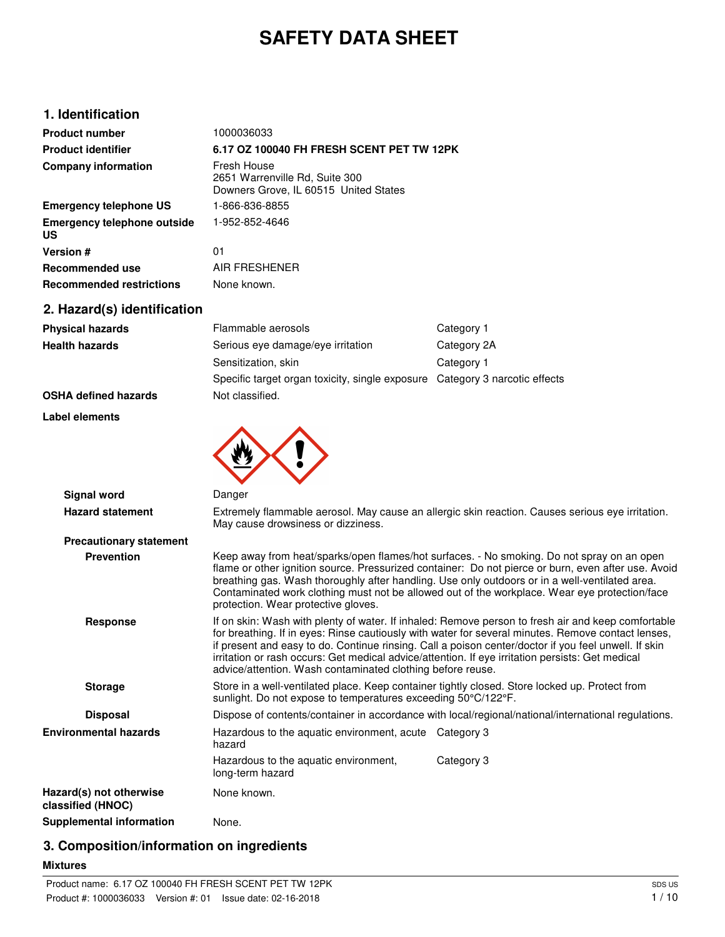# **SAFETY DATA SHEET**

# **1. Identification**

| <b>Product number</b>                           | 1000036033                                                                             |
|-------------------------------------------------|----------------------------------------------------------------------------------------|
| <b>Product identifier</b>                       | 6.17 OZ 100040 FH FRESH SCENT PET TW 12PK                                              |
| <b>Company information</b>                      | Fresh House<br>2651 Warrenville Rd, Suite 300<br>Downers Grove, IL 60515 United States |
| <b>Emergency telephone US</b>                   | 1-866-836-8855                                                                         |
| <b>Emergency telephone outside</b><br><b>US</b> | 1-952-852-4646                                                                         |
| Version #                                       | 01                                                                                     |
| Recommended use                                 | AIR FRESHENER                                                                          |
| <b>Recommended restrictions</b>                 | None known.                                                                            |

# **2. Hazard(s) identification**

| <b>Physical hazards</b>                      | Flammable aerosols                                                                                                                                              | Category 1                                                                                                                                                                                                                                                                                                                                                                                           |
|----------------------------------------------|-----------------------------------------------------------------------------------------------------------------------------------------------------------------|------------------------------------------------------------------------------------------------------------------------------------------------------------------------------------------------------------------------------------------------------------------------------------------------------------------------------------------------------------------------------------------------------|
| <b>Health hazards</b>                        | Serious eye damage/eye irritation                                                                                                                               | Category 2A                                                                                                                                                                                                                                                                                                                                                                                          |
|                                              | Sensitization, skin                                                                                                                                             | Category 1                                                                                                                                                                                                                                                                                                                                                                                           |
|                                              | Specific target organ toxicity, single exposure Category 3 narcotic effects                                                                                     |                                                                                                                                                                                                                                                                                                                                                                                                      |
| <b>OSHA defined hazards</b>                  | Not classified.                                                                                                                                                 |                                                                                                                                                                                                                                                                                                                                                                                                      |
| Label elements                               |                                                                                                                                                                 |                                                                                                                                                                                                                                                                                                                                                                                                      |
|                                              |                                                                                                                                                                 |                                                                                                                                                                                                                                                                                                                                                                                                      |
|                                              |                                                                                                                                                                 |                                                                                                                                                                                                                                                                                                                                                                                                      |
| <b>Signal word</b>                           | Danger                                                                                                                                                          |                                                                                                                                                                                                                                                                                                                                                                                                      |
| <b>Hazard statement</b>                      | May cause drowsiness or dizziness.                                                                                                                              | Extremely flammable aerosol. May cause an allergic skin reaction. Causes serious eye irritation.                                                                                                                                                                                                                                                                                                     |
| <b>Precautionary statement</b>               |                                                                                                                                                                 |                                                                                                                                                                                                                                                                                                                                                                                                      |
| <b>Prevention</b>                            | protection. Wear protective gloves.                                                                                                                             | Keep away from heat/sparks/open flames/hot surfaces. - No smoking. Do not spray on an open<br>flame or other ignition source. Pressurized container: Do not pierce or burn, even after use. Avoid<br>breathing gas. Wash thoroughly after handling. Use only outdoors or in a well-ventilated area.<br>Contaminated work clothing must not be allowed out of the workplace. Wear eye protection/face |
| <b>Response</b>                              | irritation or rash occurs: Get medical advice/attention. If eye irritation persists: Get medical<br>advice/attention. Wash contaminated clothing before reuse.  | If on skin: Wash with plenty of water. If inhaled: Remove person to fresh air and keep comfortable<br>for breathing. If in eyes: Rinse cautiously with water for several minutes. Remove contact lenses,<br>if present and easy to do. Continue rinsing. Call a poison center/doctor if you feel unwell. If skin                                                                                     |
| <b>Storage</b>                               | Store in a well-ventilated place. Keep container tightly closed. Store locked up. Protect from<br>sunlight. Do not expose to temperatures exceeding 50°C/122°F. |                                                                                                                                                                                                                                                                                                                                                                                                      |
| <b>Disposal</b>                              |                                                                                                                                                                 | Dispose of contents/container in accordance with local/regional/national/international regulations.                                                                                                                                                                                                                                                                                                  |
| <b>Environmental hazards</b>                 | Hazardous to the aquatic environment, acute Category 3<br>hazard                                                                                                |                                                                                                                                                                                                                                                                                                                                                                                                      |
|                                              | Hazardous to the aquatic environment,<br>long-term hazard                                                                                                       | Category 3                                                                                                                                                                                                                                                                                                                                                                                           |
| Hazard(s) not otherwise<br>classified (HNOC) | None known.                                                                                                                                                     |                                                                                                                                                                                                                                                                                                                                                                                                      |
| <b>Supplemental information</b>              | None.                                                                                                                                                           |                                                                                                                                                                                                                                                                                                                                                                                                      |

# **3. Composition/information on ingredients**

#### **Mixtures**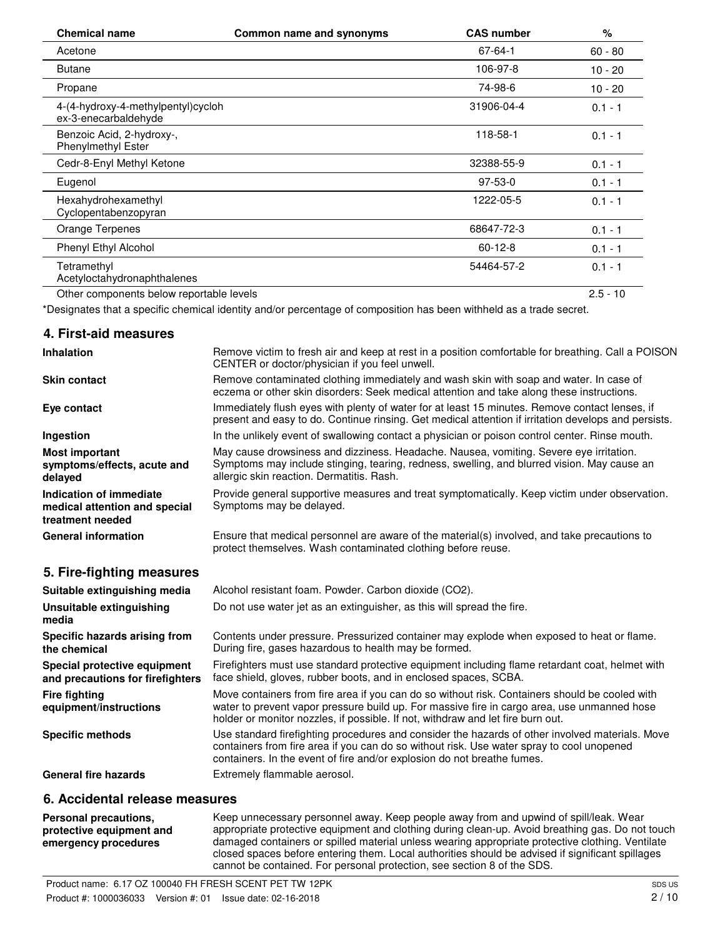| <b>Chemical name</b>                                       | Common name and synonyms                                                                                           | <b>CAS number</b> | $\%$       |
|------------------------------------------------------------|--------------------------------------------------------------------------------------------------------------------|-------------------|------------|
| Acetone                                                    |                                                                                                                    | 67-64-1           | $60 - 80$  |
| <b>Butane</b>                                              |                                                                                                                    | 106-97-8          | $10 - 20$  |
| Propane                                                    |                                                                                                                    | 74-98-6           | $10 - 20$  |
| 4-(4-hydroxy-4-methylpentyl)cycloh<br>ex-3-enecarbaldehyde |                                                                                                                    | 31906-04-4        | $0.1 - 1$  |
| Benzoic Acid, 2-hydroxy-,<br><b>Phenylmethyl Ester</b>     |                                                                                                                    | 118-58-1          | $0.1 - 1$  |
| Cedr-8-Enyl Methyl Ketone                                  |                                                                                                                    | 32388-55-9        | $0.1 - 1$  |
| Eugenol                                                    |                                                                                                                    | $97-53-0$         | $0.1 - 1$  |
| Hexahydrohexamethyl<br>Cyclopentabenzopyran                |                                                                                                                    | 1222-05-5         | $0.1 - 1$  |
| Orange Terpenes                                            |                                                                                                                    | 68647-72-3        | $0.1 - 1$  |
| Phenyl Ethyl Alcohol                                       |                                                                                                                    | $60 - 12 - 8$     | $0.1 - 1$  |
| Tetramethyl<br>Acetyloctahydronaphthalenes                 |                                                                                                                    | 54464-57-2        | $0.1 - 1$  |
| Other components below reportable levels                   |                                                                                                                    |                   | $2.5 - 10$ |
|                                                            | *Designates that a considia chamical identity and/or persentage of composition has been withhold as a trade coorst |                   |            |

\*Designates that a specific chemical identity and/or percentage of composition has been withheld as a trade secret.

### **4. First-aid measures**

| <b>Inhalation</b>                                                            | Remove victim to fresh air and keep at rest in a position comfortable for breathing. Call a POISON<br>CENTER or doctor/physician if you feel unwell.                                                                                                                             |
|------------------------------------------------------------------------------|----------------------------------------------------------------------------------------------------------------------------------------------------------------------------------------------------------------------------------------------------------------------------------|
| <b>Skin contact</b>                                                          | Remove contaminated clothing immediately and wash skin with soap and water. In case of<br>eczema or other skin disorders: Seek medical attention and take along these instructions.                                                                                              |
| Eye contact                                                                  | Immediately flush eyes with plenty of water for at least 15 minutes. Remove contact lenses, if<br>present and easy to do. Continue rinsing. Get medical attention if irritation develops and persists.                                                                           |
| Ingestion                                                                    | In the unlikely event of swallowing contact a physician or poison control center. Rinse mouth.                                                                                                                                                                                   |
| <b>Most important</b><br>symptoms/effects, acute and<br>delayed              | May cause drowsiness and dizziness. Headache. Nausea, vomiting. Severe eye irritation.<br>Symptoms may include stinging, tearing, redness, swelling, and blurred vision. May cause an<br>allergic skin reaction. Dermatitis. Rash.                                               |
| Indication of immediate<br>medical attention and special<br>treatment needed | Provide general supportive measures and treat symptomatically. Keep victim under observation.<br>Symptoms may be delayed.                                                                                                                                                        |
| <b>General information</b>                                                   | Ensure that medical personnel are aware of the material(s) involved, and take precautions to<br>protect themselves. Wash contaminated clothing before reuse.                                                                                                                     |
| 5. Fire-fighting measures                                                    |                                                                                                                                                                                                                                                                                  |
| Suitable extinguishing media                                                 | Alcohol resistant foam. Powder. Carbon dioxide (CO2).                                                                                                                                                                                                                            |
| Unsuitable extinguishing<br>media                                            | Do not use water jet as an extinguisher, as this will spread the fire.                                                                                                                                                                                                           |
| Specific hazards arising from<br>the chemical                                | Contents under pressure. Pressurized container may explode when exposed to heat or flame.<br>During fire, gases hazardous to health may be formed.                                                                                                                               |
| Special protective equipment<br>and precautions for firefighters             | Firefighters must use standard protective equipment including flame retardant coat, helmet with<br>face shield, gloves, rubber boots, and in enclosed spaces, SCBA.                                                                                                              |
| <b>Fire fighting</b><br>equipment/instructions                               | Move containers from fire area if you can do so without risk. Containers should be cooled with<br>water to prevent vapor pressure build up. For massive fire in cargo area, use unmanned hose<br>holder or monitor nozzles, if possible. If not, withdraw and let fire burn out. |
| <b>Specific methods</b>                                                      | Use standard firefighting procedures and consider the hazards of other involved materials. Move<br>containers from fire area if you can do so without risk. Use water spray to cool unopened<br>containers. In the event of fire and/or explosion do not breathe fumes.          |
| <b>General fire hazards</b>                                                  | Extremely flammable aerosol.                                                                                                                                                                                                                                                     |
|                                                                              |                                                                                                                                                                                                                                                                                  |

# **6. Accidental release measures**

| Personal precautions,    | Keep unnecessary personnel away. Keep people away from and upwind of spill/leak. Wear            |
|--------------------------|--------------------------------------------------------------------------------------------------|
| protective equipment and | appropriate protective equipment and clothing during clean-up. Avoid breathing gas. Do not touch |
| emergency procedures     | damaged containers or spilled material unless wearing appropriate protective clothing. Ventilate |
|                          | closed spaces before entering them. Local authorities should be advised if significant spillages |
|                          | cannot be contained. For personal protection, see section 8 of the SDS.                          |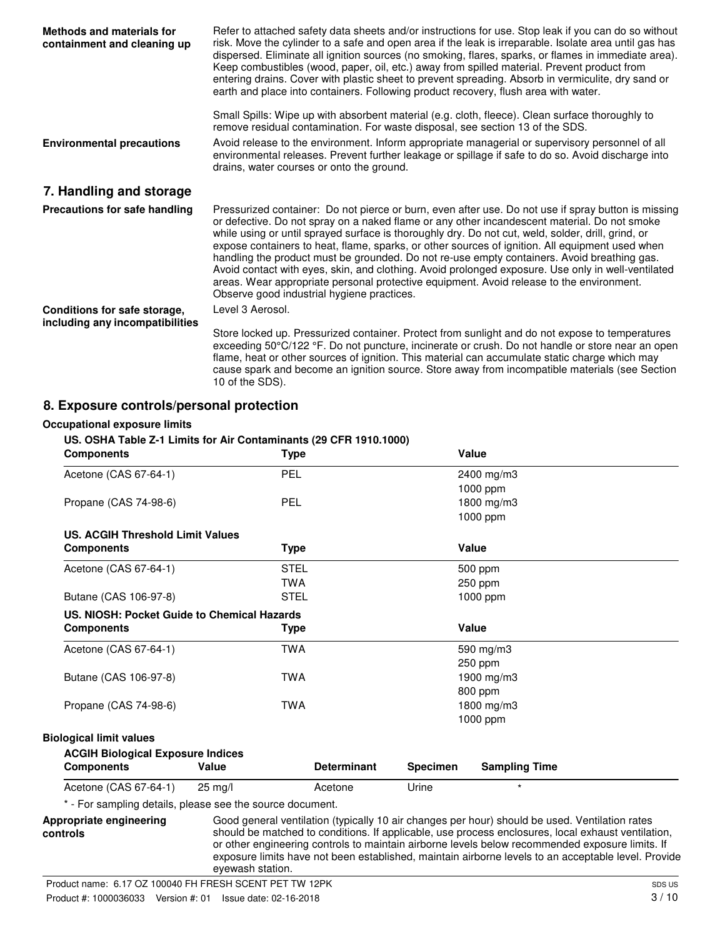| <b>Methods and materials for</b><br>containment and cleaning up | Refer to attached safety data sheets and/or instructions for use. Stop leak if you can do so without<br>risk. Move the cylinder to a safe and open area if the leak is irreparable. Isolate area until gas has<br>dispersed. Eliminate all ignition sources (no smoking, flares, sparks, or flames in immediate area).<br>Keep combustibles (wood, paper, oil, etc.) away from spilled material. Prevent product from<br>entering drains. Cover with plastic sheet to prevent spreading. Absorb in vermiculite, dry sand or<br>earth and place into containers. Following product recovery, flush area with water.                                                                                                                                          |
|-----------------------------------------------------------------|-------------------------------------------------------------------------------------------------------------------------------------------------------------------------------------------------------------------------------------------------------------------------------------------------------------------------------------------------------------------------------------------------------------------------------------------------------------------------------------------------------------------------------------------------------------------------------------------------------------------------------------------------------------------------------------------------------------------------------------------------------------|
| <b>Environmental precautions</b>                                | Small Spills: Wipe up with absorbent material (e.g. cloth, fleece). Clean surface thoroughly to<br>remove residual contamination. For waste disposal, see section 13 of the SDS.<br>Avoid release to the environment. Inform appropriate managerial or supervisory personnel of all<br>environmental releases. Prevent further leakage or spillage if safe to do so. Avoid discharge into<br>drains, water courses or onto the ground.                                                                                                                                                                                                                                                                                                                      |
| 7. Handling and storage                                         |                                                                                                                                                                                                                                                                                                                                                                                                                                                                                                                                                                                                                                                                                                                                                             |
| Precautions for safe handling                                   | Pressurized container: Do not pierce or burn, even after use. Do not use if spray button is missing<br>or defective. Do not spray on a naked flame or any other incandescent material. Do not smoke<br>while using or until sprayed surface is thoroughly dry. Do not cut, weld, solder, drill, grind, or<br>expose containers to heat, flame, sparks, or other sources of ignition. All equipment used when<br>handling the product must be grounded. Do not re-use empty containers. Avoid breathing gas.<br>Avoid contact with eyes, skin, and clothing. Avoid prolonged exposure. Use only in well-ventilated<br>areas. Wear appropriate personal protective equipment. Avoid release to the environment.<br>Observe good industrial hygiene practices. |
| Conditions for safe storage,                                    | Level 3 Aerosol.                                                                                                                                                                                                                                                                                                                                                                                                                                                                                                                                                                                                                                                                                                                                            |
| including any incompatibilities                                 | Store locked up. Pressurized container. Protect from sunlight and do not expose to temperatures<br>exceeding 50°C/122 °F. Do not puncture, incinerate or crush. Do not handle or store near an open<br>flame, heat or other sources of ignition. This material can accumulate static charge which may<br>cause spark and become an ignition source. Store away from incompatible materials (see Section<br>10 of the SDS).                                                                                                                                                                                                                                                                                                                                  |

# **8. Exposure controls/personal protection**

#### **Occupational exposure limits**

#### **US. OSHA Table Z-1 Limits for Air Contaminants (29 CFR 1910.1000)**

| <b>Components</b>                                         | <b>Type</b>       |                    |                 | Value                                                                                          |  |
|-----------------------------------------------------------|-------------------|--------------------|-----------------|------------------------------------------------------------------------------------------------|--|
| Acetone (CAS 67-64-1)                                     | PEL               |                    |                 | 2400 mg/m3                                                                                     |  |
|                                                           |                   |                    |                 | $1000$ ppm                                                                                     |  |
| Propane (CAS 74-98-6)                                     | PEL               |                    |                 | 1800 mg/m3                                                                                     |  |
|                                                           |                   |                    |                 | 1000 ppm                                                                                       |  |
| <b>US. ACGIH Threshold Limit Values</b>                   |                   |                    |                 |                                                                                                |  |
| <b>Components</b>                                         | <b>Type</b>       |                    |                 | Value                                                                                          |  |
| Acetone (CAS 67-64-1)                                     | <b>STEL</b>       |                    |                 | 500 ppm                                                                                        |  |
|                                                           | <b>TWA</b>        |                    |                 | 250 ppm                                                                                        |  |
| Butane (CAS 106-97-8)                                     | <b>STEL</b>       |                    |                 | 1000 ppm                                                                                       |  |
| US. NIOSH: Pocket Guide to Chemical Hazards               |                   |                    |                 |                                                                                                |  |
| <b>Components</b>                                         | <b>Type</b>       |                    |                 | Value                                                                                          |  |
| Acetone (CAS 67-64-1)                                     | <b>TWA</b>        |                    |                 | 590 mg/m3                                                                                      |  |
|                                                           |                   |                    |                 | 250 ppm                                                                                        |  |
| Butane (CAS 106-97-8)                                     | TWA               |                    |                 | 1900 mg/m3                                                                                     |  |
|                                                           |                   |                    |                 | 800 ppm                                                                                        |  |
| Propane (CAS 74-98-6)                                     | <b>TWA</b>        |                    |                 | 1800 mg/m3                                                                                     |  |
|                                                           |                   |                    |                 | 1000 ppm                                                                                       |  |
| <b>Biological limit values</b>                            |                   |                    |                 |                                                                                                |  |
| <b>ACGIH Biological Exposure Indices</b>                  |                   |                    |                 |                                                                                                |  |
| <b>Components</b>                                         | Value             | <b>Determinant</b> | <b>Specimen</b> | <b>Sampling Time</b>                                                                           |  |
| Acetone (CAS 67-64-1)                                     | $25 \text{ ma/l}$ | Acetone            | Urine           | $\star$                                                                                        |  |
| * - For sampling details, please see the source document. |                   |                    |                 |                                                                                                |  |
| Appropriate engineering                                   |                   |                    |                 | Good general ventilation (typically 10 air changes per hour) should be used. Ventilation rates |  |

should be matched to conditions. If applicable, use process enclosures, local exhaust ventilation, or other engineering controls to maintain airborne levels below recommended exposure limits. If

**controls**

exposure limits have not been established, maintain airborne levels to an acceptable level. Provide eyewash station. Product name: 6.17 OZ 100040 FH FRESH SCENT PET TW 12PK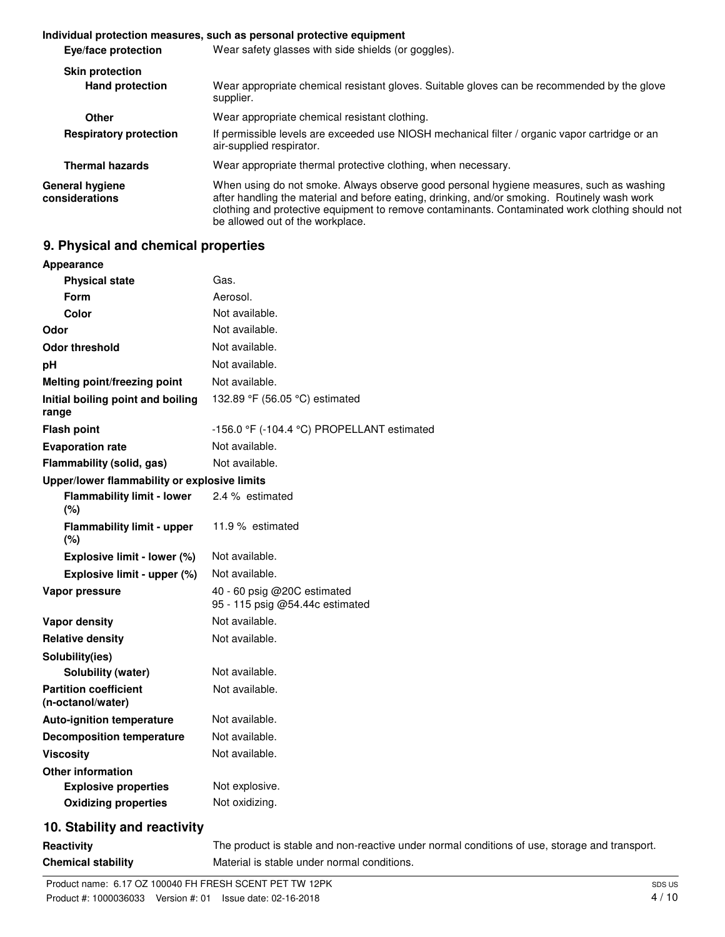#### **Individual protection measures, such as personal protective equipment Eye/face protection** Wear safety glasses with side shields (or goggles). **Skin protection** Wear appropriate chemical resistant gloves. Suitable gloves can be recommended by the glove supplier. **Hand protection Other** Wear appropriate chemical resistant clothing. If permissible levels are exceeded use NIOSH mechanical filter / organic vapor cartridge or an air-supplied respirator. **Respiratory protection Thermal hazards** Wear appropriate thermal protective clothing, when necessary. When using do not smoke. Always observe good personal hygiene measures, such as washing after handling the material and before eating, drinking, and/or smoking. Routinely wash work clothing and protective equipment to remove contaminants. Contaminated work clothing should not be allowed out of the workplace. **General hygiene considerations**

# **9. Physical and chemical properties**

| <b>Appearance</b>                                 |                                                                                               |
|---------------------------------------------------|-----------------------------------------------------------------------------------------------|
| <b>Physical state</b>                             | Gas.                                                                                          |
| <b>Form</b>                                       | Aerosol.                                                                                      |
| Color                                             | Not available.                                                                                |
| Odor                                              | Not available.                                                                                |
| <b>Odor threshold</b>                             | Not available.                                                                                |
| рH                                                | Not available.                                                                                |
| Melting point/freezing point                      | Not available.                                                                                |
| Initial boiling point and boiling<br>range        | 132.89 °F (56.05 °C) estimated                                                                |
| <b>Flash point</b>                                | -156.0 °F (-104.4 °C) PROPELLANT estimated                                                    |
| <b>Evaporation rate</b>                           | Not available.                                                                                |
| Flammability (solid, gas)                         | Not available.                                                                                |
| Upper/lower flammability or explosive limits      |                                                                                               |
| <b>Flammability limit - lower</b><br>(%)          | 2.4 % estimated                                                                               |
| <b>Flammability limit - upper</b><br>(%)          | 11.9 % estimated                                                                              |
| Explosive limit - lower (%)                       | Not available.                                                                                |
| Explosive limit - upper (%)                       | Not available.                                                                                |
| Vapor pressure                                    | 40 - 60 psig @20C estimated<br>95 - 115 psig @54.44c estimated                                |
| <b>Vapor density</b>                              | Not available.                                                                                |
| <b>Relative density</b>                           | Not available.                                                                                |
| Solubility(ies)                                   |                                                                                               |
| Solubility (water)                                | Not available.                                                                                |
| <b>Partition coefficient</b><br>(n-octanol/water) | Not available.                                                                                |
| <b>Auto-ignition temperature</b>                  | Not available.                                                                                |
| <b>Decomposition temperature</b>                  | Not available.                                                                                |
| <b>Viscosity</b>                                  | Not available.                                                                                |
| <b>Other information</b>                          |                                                                                               |
| <b>Explosive properties</b>                       | Not explosive.                                                                                |
| <b>Oxidizing properties</b>                       | Not oxidizing.                                                                                |
| 10. Stability and reactivity                      |                                                                                               |
| <b>Reactivity</b>                                 | The product is stable and non-reactive under normal conditions of use, storage and transport. |

**Chemical stability** Material is stable under normal conditions.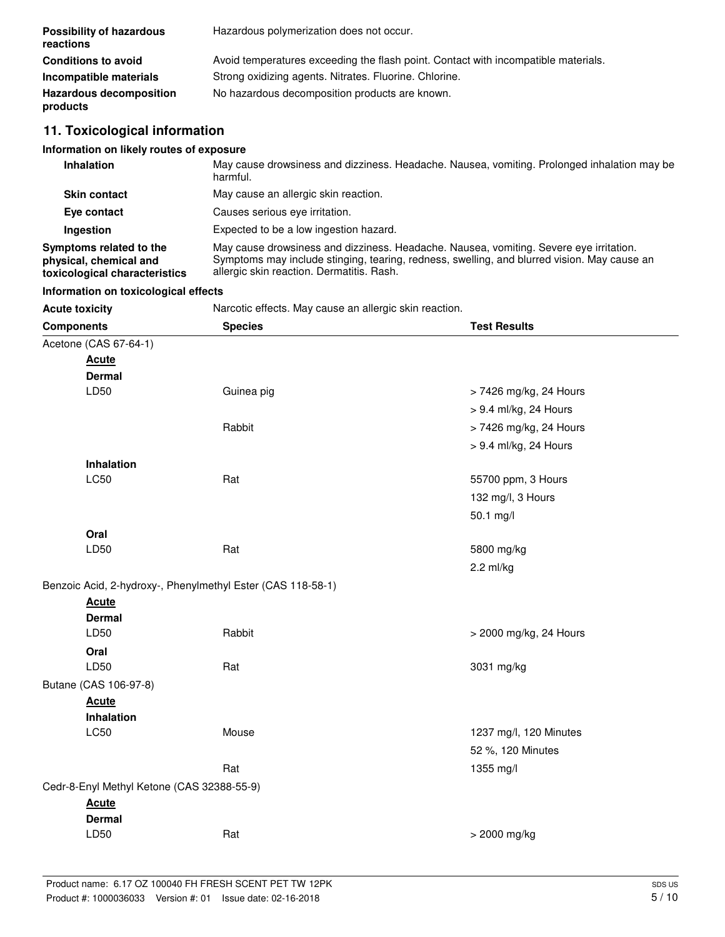| <b>Possibility of hazardous</b><br>reactions                                       | Hazardous polymerization does not occur.                                                                                                                                                                                           |                        |  |
|------------------------------------------------------------------------------------|------------------------------------------------------------------------------------------------------------------------------------------------------------------------------------------------------------------------------------|------------------------|--|
| <b>Conditions to avoid</b>                                                         | Avoid temperatures exceeding the flash point. Contact with incompatible materials.                                                                                                                                                 |                        |  |
| Incompatible materials                                                             | Strong oxidizing agents. Nitrates. Fluorine. Chlorine.                                                                                                                                                                             |                        |  |
| <b>Hazardous decomposition</b><br>products                                         | No hazardous decomposition products are known.                                                                                                                                                                                     |                        |  |
| 11. Toxicological information                                                      |                                                                                                                                                                                                                                    |                        |  |
| Information on likely routes of exposure                                           |                                                                                                                                                                                                                                    |                        |  |
| <b>Inhalation</b>                                                                  | May cause drowsiness and dizziness. Headache. Nausea, vomiting. Prolonged inhalation may be<br>harmful.                                                                                                                            |                        |  |
| <b>Skin contact</b>                                                                | May cause an allergic skin reaction.                                                                                                                                                                                               |                        |  |
| Eye contact                                                                        | Causes serious eye irritation.                                                                                                                                                                                                     |                        |  |
| Ingestion                                                                          | Expected to be a low ingestion hazard.                                                                                                                                                                                             |                        |  |
| Symptoms related to the<br>physical, chemical and<br>toxicological characteristics | May cause drowsiness and dizziness. Headache. Nausea, vomiting. Severe eye irritation.<br>Symptoms may include stinging, tearing, redness, swelling, and blurred vision. May cause an<br>allergic skin reaction. Dermatitis. Rash. |                        |  |
| Information on toxicological effects                                               |                                                                                                                                                                                                                                    |                        |  |
| <b>Acute toxicity</b>                                                              | Narcotic effects. May cause an allergic skin reaction.                                                                                                                                                                             |                        |  |
| <b>Components</b>                                                                  | <b>Species</b>                                                                                                                                                                                                                     | <b>Test Results</b>    |  |
| Acetone (CAS 67-64-1)                                                              |                                                                                                                                                                                                                                    |                        |  |
| <u>Acute</u>                                                                       |                                                                                                                                                                                                                                    |                        |  |
| Dermal                                                                             |                                                                                                                                                                                                                                    |                        |  |
| LD50                                                                               | Guinea pig                                                                                                                                                                                                                         | > 7426 mg/kg, 24 Hours |  |
|                                                                                    |                                                                                                                                                                                                                                    | > 9.4 ml/kg, 24 Hours  |  |
|                                                                                    | Rabbit                                                                                                                                                                                                                             | > 7426 mg/kg, 24 Hours |  |
|                                                                                    |                                                                                                                                                                                                                                    | > 9.4 ml/kg, 24 Hours  |  |
| <b>Inhalation</b>                                                                  |                                                                                                                                                                                                                                    |                        |  |
| <b>LC50</b>                                                                        | Rat                                                                                                                                                                                                                                | 55700 ppm, 3 Hours     |  |
|                                                                                    |                                                                                                                                                                                                                                    | 132 mg/l, 3 Hours      |  |
|                                                                                    |                                                                                                                                                                                                                                    | 50.1 mg/l              |  |
| Oral                                                                               |                                                                                                                                                                                                                                    |                        |  |
| LD50                                                                               | Rat                                                                                                                                                                                                                                | 5800 mg/kg             |  |
|                                                                                    |                                                                                                                                                                                                                                    | $2.2$ ml/kg            |  |
| Benzoic Acid, 2-hydroxy-, Phenylmethyl Ester (CAS 118-58-1)                        |                                                                                                                                                                                                                                    |                        |  |
| <b>Acute</b>                                                                       |                                                                                                                                                                                                                                    |                        |  |
| <b>Dermal</b><br>LD50                                                              | Rabbit                                                                                                                                                                                                                             | > 2000 mg/kg, 24 Hours |  |
| Oral                                                                               |                                                                                                                                                                                                                                    |                        |  |
| LD50                                                                               | Rat                                                                                                                                                                                                                                | 3031 mg/kg             |  |
| Butane (CAS 106-97-8)                                                              |                                                                                                                                                                                                                                    |                        |  |
| <b>Acute</b>                                                                       |                                                                                                                                                                                                                                    |                        |  |
| Inhalation                                                                         |                                                                                                                                                                                                                                    |                        |  |
| LC50                                                                               | Mouse                                                                                                                                                                                                                              | 1237 mg/l, 120 Minutes |  |
|                                                                                    |                                                                                                                                                                                                                                    | 52 %, 120 Minutes      |  |
|                                                                                    | Rat                                                                                                                                                                                                                                | 1355 mg/l              |  |
| Cedr-8-Enyl Methyl Ketone (CAS 32388-55-9)                                         |                                                                                                                                                                                                                                    |                        |  |
| <b>Acute</b>                                                                       |                                                                                                                                                                                                                                    |                        |  |
| <b>Dermal</b>                                                                      |                                                                                                                                                                                                                                    |                        |  |
| LD50                                                                               | Rat                                                                                                                                                                                                                                | > 2000 mg/kg           |  |
|                                                                                    |                                                                                                                                                                                                                                    |                        |  |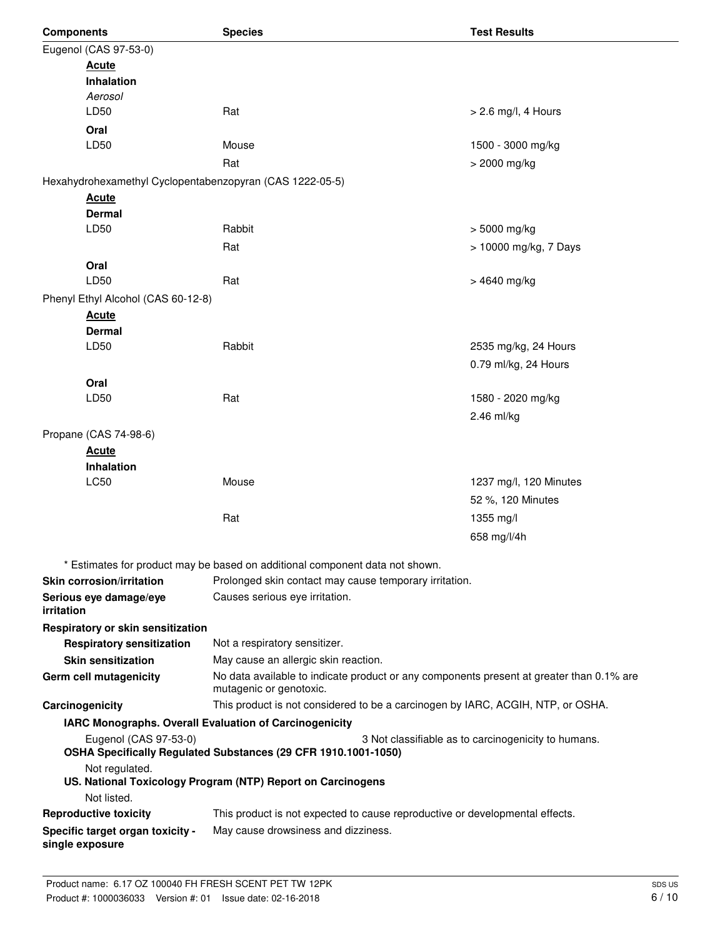| <b>Components</b>                                                        | <b>Species</b>                                                                                                      | <b>Test Results</b>                                 |
|--------------------------------------------------------------------------|---------------------------------------------------------------------------------------------------------------------|-----------------------------------------------------|
| Eugenol (CAS 97-53-0)                                                    |                                                                                                                     |                                                     |
| <b>Acute</b>                                                             |                                                                                                                     |                                                     |
| <b>Inhalation</b>                                                        |                                                                                                                     |                                                     |
| Aerosol                                                                  | Rat                                                                                                                 |                                                     |
| LD50                                                                     |                                                                                                                     | $> 2.6$ mg/l, 4 Hours                               |
| Oral<br>LD50                                                             | Mouse                                                                                                               | 1500 - 3000 mg/kg                                   |
|                                                                          | Rat                                                                                                                 | > 2000 mg/kg                                        |
|                                                                          |                                                                                                                     |                                                     |
| Hexahydrohexamethyl Cyclopentabenzopyran (CAS 1222-05-5)<br><b>Acute</b> |                                                                                                                     |                                                     |
| <b>Dermal</b>                                                            |                                                                                                                     |                                                     |
| LD50                                                                     | Rabbit                                                                                                              | > 5000 mg/kg                                        |
|                                                                          | Rat                                                                                                                 | > 10000 mg/kg, 7 Days                               |
| Oral                                                                     |                                                                                                                     |                                                     |
| LD50                                                                     | Rat                                                                                                                 | > 4640 mg/kg                                        |
| Phenyl Ethyl Alcohol (CAS 60-12-8)                                       |                                                                                                                     |                                                     |
| <b>Acute</b>                                                             |                                                                                                                     |                                                     |
| <b>Dermal</b>                                                            |                                                                                                                     |                                                     |
| LD50                                                                     | Rabbit                                                                                                              | 2535 mg/kg, 24 Hours                                |
|                                                                          |                                                                                                                     | 0.79 ml/kg, 24 Hours                                |
| Oral                                                                     |                                                                                                                     |                                                     |
| LD50                                                                     | Rat                                                                                                                 | 1580 - 2020 mg/kg                                   |
|                                                                          |                                                                                                                     | 2.46 ml/kg                                          |
| Propane (CAS 74-98-6)                                                    |                                                                                                                     |                                                     |
| <b>Acute</b>                                                             |                                                                                                                     |                                                     |
| <b>Inhalation</b><br>LC50                                                | Mouse                                                                                                               | 1237 mg/l, 120 Minutes                              |
|                                                                          |                                                                                                                     | 52 %, 120 Minutes                                   |
|                                                                          | Rat                                                                                                                 | 1355 mg/l                                           |
|                                                                          |                                                                                                                     | 658 mg/l/4h                                         |
|                                                                          |                                                                                                                     |                                                     |
|                                                                          | * Estimates for product may be based on additional component data not shown.                                        |                                                     |
| <b>Skin corrosion/irritation</b>                                         | Prolonged skin contact may cause temporary irritation.                                                              |                                                     |
| Serious eye damage/eye<br><i>irritation</i>                              | Causes serious eye irritation.                                                                                      |                                                     |
| Respiratory or skin sensitization                                        |                                                                                                                     |                                                     |
| <b>Respiratory sensitization</b>                                         | Not a respiratory sensitizer.                                                                                       |                                                     |
| <b>Skin sensitization</b>                                                | May cause an allergic skin reaction.                                                                                |                                                     |
| Germ cell mutagenicity                                                   | No data available to indicate product or any components present at greater than 0.1% are<br>mutagenic or genotoxic. |                                                     |
| Carcinogenicity                                                          | This product is not considered to be a carcinogen by IARC, ACGIH, NTP, or OSHA.                                     |                                                     |
|                                                                          | IARC Monographs. Overall Evaluation of Carcinogenicity                                                              |                                                     |
| Eugenol (CAS 97-53-0)                                                    | OSHA Specifically Regulated Substances (29 CFR 1910.1001-1050)                                                      | 3 Not classifiable as to carcinogenicity to humans. |
| Not regulated.                                                           | US. National Toxicology Program (NTP) Report on Carcinogens                                                         |                                                     |
| Not listed.                                                              |                                                                                                                     |                                                     |
| <b>Reproductive toxicity</b>                                             | This product is not expected to cause reproductive or developmental effects.                                        |                                                     |
| Specific target organ toxicity -<br>single exposure                      | May cause drowsiness and dizziness.                                                                                 |                                                     |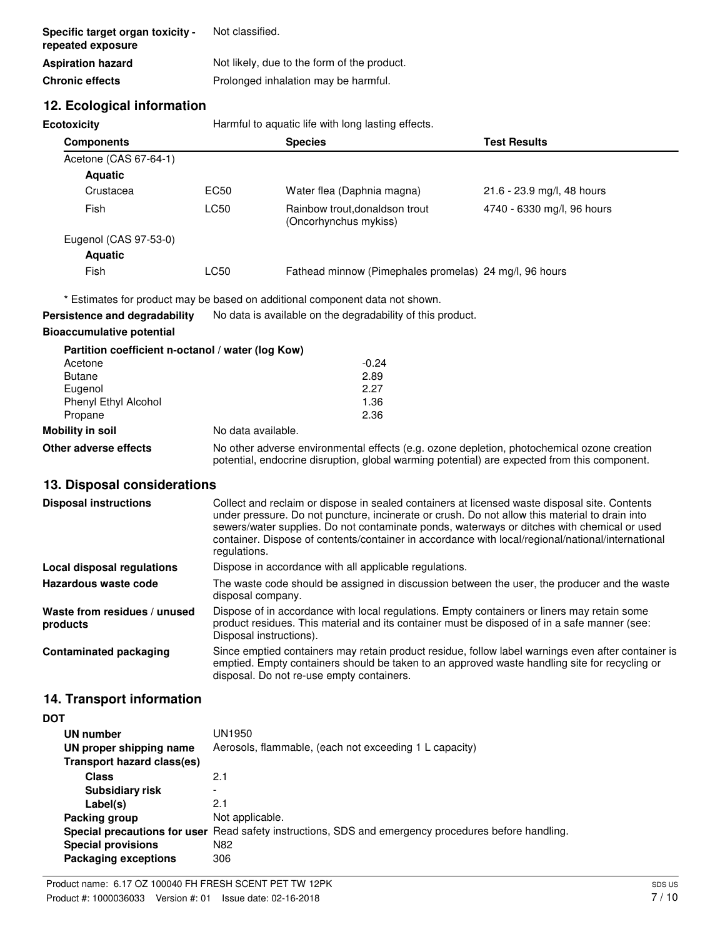| Specific target organ toxicity -<br>repeated exposure | Not classified.                             |
|-------------------------------------------------------|---------------------------------------------|
| <b>Aspiration hazard</b>                              | Not likely, due to the form of the product. |
| <b>Chronic effects</b>                                | Prolonged inhalation may be harmful.        |

# **12. Ecological information**

**Ecotoxicity Harmful to aquatic life with long lasting effects.** 

| <b>Components</b>     |      | <b>Species</b>                                          | <b>Test Results</b>        |
|-----------------------|------|---------------------------------------------------------|----------------------------|
| Acetone (CAS 67-64-1) |      |                                                         |                            |
| <b>Aquatic</b>        |      |                                                         |                            |
| Crustacea             | EC50 | Water flea (Daphnia magna)                              | 21.6 - 23.9 mg/l, 48 hours |
| Fish                  | LC50 | Rainbow trout, donaldson trout<br>(Oncorhynchus mykiss) | 4740 - 6330 mg/l, 96 hours |
| Eugenol (CAS 97-53-0) |      |                                                         |                            |
| <b>Aquatic</b>        |      |                                                         |                            |
| Fish                  | LC50 | Fathead minnow (Pimephales promelas) 24 mg/l, 96 hours  |                            |

\* Estimates for product may be based on additional component data not shown.

**Persistence and degradability** No data is available on the degradability of this product.

### **Bioaccumulative potential**

|                       | Partition coefficient n-octanol / water (log Kow)                                          |
|-----------------------|--------------------------------------------------------------------------------------------|
| Acetone               | $-0.24$                                                                                    |
| <b>Butane</b>         | 2.89                                                                                       |
| Eugenol               | 2.27                                                                                       |
| Phenyl Ethyl Alcohol  | 1.36                                                                                       |
| Propane               | 2.36                                                                                       |
| Mobility in soil      | No data available.                                                                         |
| Other adverse effects | No other adverse environmental effects (e.g. ozone depletion, photochemical ozone creation |

# **13. Disposal considerations**

| <b>Disposal instructions</b>             | Collect and reclaim or dispose in sealed containers at licensed waste disposal site. Contents<br>under pressure. Do not puncture, incinerate or crush. Do not allow this material to drain into<br>sewers/water supplies. Do not contaminate ponds, waterways or ditches with chemical or used<br>container. Dispose of contents/container in accordance with local/regional/national/international<br>regulations. |  |
|------------------------------------------|---------------------------------------------------------------------------------------------------------------------------------------------------------------------------------------------------------------------------------------------------------------------------------------------------------------------------------------------------------------------------------------------------------------------|--|
| Local disposal regulations               | Dispose in accordance with all applicable regulations.                                                                                                                                                                                                                                                                                                                                                              |  |
| Hazardous waste code                     | The waste code should be assigned in discussion between the user, the producer and the waste<br>disposal company.                                                                                                                                                                                                                                                                                                   |  |
| Waste from residues / unused<br>products | Dispose of in accordance with local regulations. Empty containers or liners may retain some<br>product residues. This material and its container must be disposed of in a safe manner (see:<br>Disposal instructions).                                                                                                                                                                                              |  |
| <b>Contaminated packaging</b>            | Since emptied containers may retain product residue, follow label warnings even after container is<br>emptied. Empty containers should be taken to an approved waste handling site for recycling or<br>disposal. Do not re-use empty containers.                                                                                                                                                                    |  |

potential, endocrine disruption, global warming potential) are expected from this component.

# **14. Transport information**

| UN number<br>UN proper shipping name<br>Transport hazard class(es) | UN1950<br>Aerosols, flammable, (each not exceeding 1 L capacity)                                     |
|--------------------------------------------------------------------|------------------------------------------------------------------------------------------------------|
| Class                                                              | 2.1                                                                                                  |
| <b>Subsidiary risk</b>                                             |                                                                                                      |
| Label(s)                                                           | 2.1                                                                                                  |
| Packing group                                                      | Not applicable.                                                                                      |
|                                                                    | Special precautions for user Read safety instructions, SDS and emergency procedures before handling. |
| <b>Special provisions</b>                                          | N82                                                                                                  |
| <b>Packaging exceptions</b>                                        | 306                                                                                                  |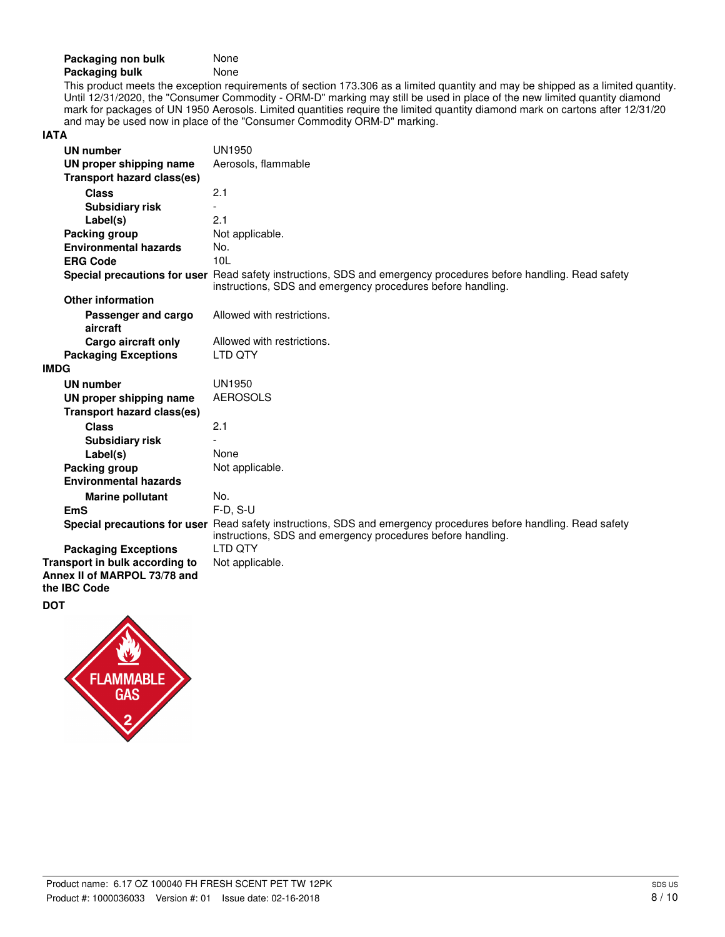| Packaging non bulk | None |
|--------------------|------|
| Packaging bulk     | None |

This product meets the exception requirements of section 173.306 as a limited quantity and may be shipped as a limited quantity. Until 12/31/2020, the "Consumer Commodity - ORM-D" marking may still be used in place of the new limited quantity diamond mark for packages of UN 1950 Aerosols. Limited quantities require the limited quantity diamond mark on cartons after 12/31/20 and may be used now in place of the "Consumer Commodity ORM-D" marking.

### **IATA**

| <b>UN number</b>                                               | UN1950                                                                                                                                                                          |
|----------------------------------------------------------------|---------------------------------------------------------------------------------------------------------------------------------------------------------------------------------|
| UN proper shipping name                                        | Aerosols, flammable                                                                                                                                                             |
| <b>Transport hazard class(es)</b>                              |                                                                                                                                                                                 |
| <b>Class</b>                                                   | 2.1                                                                                                                                                                             |
| <b>Subsidiary risk</b>                                         |                                                                                                                                                                                 |
| Label(s)                                                       | 2.1                                                                                                                                                                             |
| Packing group                                                  | Not applicable.                                                                                                                                                                 |
| <b>Environmental hazards</b>                                   | No.                                                                                                                                                                             |
| <b>ERG Code</b>                                                | 10 <sub>L</sub>                                                                                                                                                                 |
|                                                                | Special precautions for user Read safety instructions, SDS and emergency procedures before handling. Read safety<br>instructions, SDS and emergency procedures before handling. |
| <b>Other information</b>                                       |                                                                                                                                                                                 |
| Passenger and cargo<br>aircraft                                | Allowed with restrictions.                                                                                                                                                      |
| Cargo aircraft only                                            | Allowed with restrictions.                                                                                                                                                      |
| <b>Packaging Exceptions</b>                                    | LTD OTY                                                                                                                                                                         |
| <b>IMDG</b>                                                    |                                                                                                                                                                                 |
| <b>UN number</b>                                               | <b>UN1950</b>                                                                                                                                                                   |
| UN proper shipping name                                        | <b>AEROSOLS</b>                                                                                                                                                                 |
| <b>Transport hazard class(es)</b>                              |                                                                                                                                                                                 |
| <b>Class</b>                                                   | 2.1                                                                                                                                                                             |
| <b>Subsidiary risk</b>                                         |                                                                                                                                                                                 |
| Label(s)                                                       | None                                                                                                                                                                            |
| Packing group                                                  | Not applicable.                                                                                                                                                                 |
| <b>Environmental hazards</b>                                   |                                                                                                                                                                                 |
| <b>Marine pollutant</b>                                        | No.                                                                                                                                                                             |
| <b>EmS</b>                                                     | $F-D, S-U$                                                                                                                                                                      |
|                                                                | Special precautions for user Read safety instructions, SDS and emergency procedures before handling. Read safety<br>instructions, SDS and emergency procedures before handling. |
| <b>Packaging Exceptions</b>                                    | I TD OTY                                                                                                                                                                        |
| Transport in bulk according to<br>Annex II of MARPOL 73/78 and | Not applicable.                                                                                                                                                                 |
| the IBC Code                                                   |                                                                                                                                                                                 |

### **DOT**

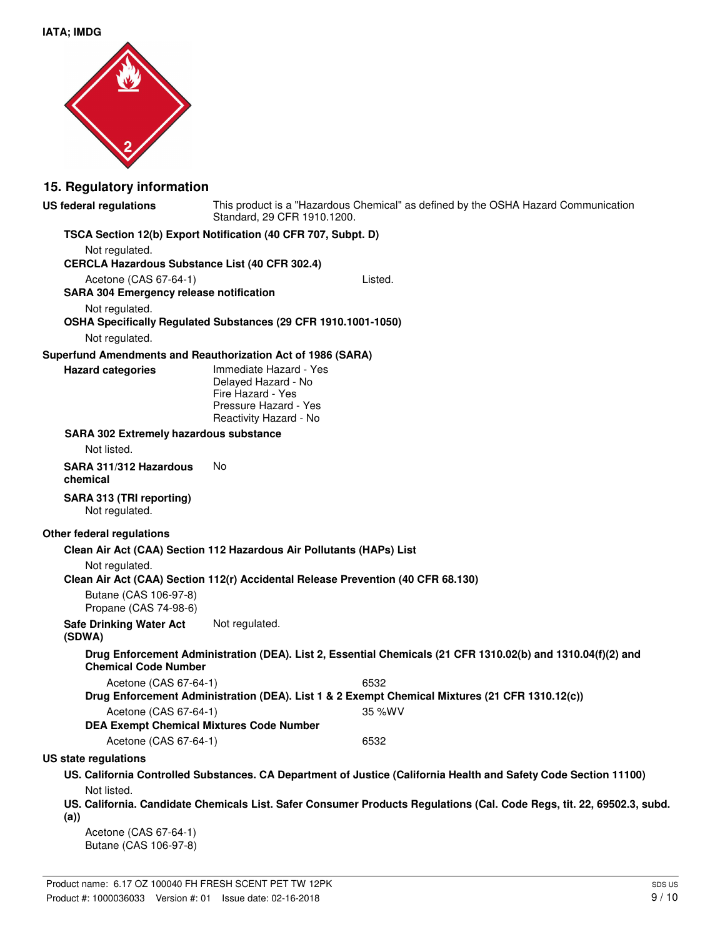

### **15. Regulatory information**

**US federal regulations**

This product is a "Hazardous Chemical" as defined by the OSHA Hazard Communication Standard, 29 CFR 1910.1200.

### **TSCA Section 12(b) Export Notification (40 CFR 707, Subpt. D)**

Not regulated. **CERCLA Hazardous Substance List (40 CFR 302.4)** Acetone (CAS 67-64-1) Listed. **SARA 304 Emergency release notification** Not regulated. **OSHA Specifically Regulated Substances (29 CFR 1910.1001-1050)** Not regulated. **Superfund Amendments and Reauthorization Act of 1986 (SARA)** Immediate Hazard - Yes Delayed Hazard - No Fire Hazard - Yes Pressure Hazard - Yes Reactivity Hazard - No **Hazard categories SARA 302 Extremely hazardous substance** Not listed. **SARA 311/312 Hazardous** No **chemical SARA 313 (TRI reporting)** Not regulated. **Other federal regulations Clean Air Act (CAA) Section 112 Hazardous Air Pollutants (HAPs) List** Not regulated. **Clean Air Act (CAA) Section 112(r) Accidental Release Prevention (40 CFR 68.130)** Butane (CAS 106-97-8) Propane (CAS 74-98-6) **Safe Drinking Water Act** Not regulated. **(SDWA) Drug Enforcement Administration (DEA). List 2, Essential Chemicals (21 CFR 1310.02(b) and 1310.04(f)(2) and Chemical Code Number** Acetone (CAS 67-64-1) 6532 **Drug Enforcement Administration (DEA). List 1 & 2 Exempt Chemical Mixtures (21 CFR 1310.12(c))** Acetone (CAS 67-64-1) 35 %WV **DEA Exempt Chemical Mixtures Code Number** Acetone (CAS 67-64-1) 6532 **US state regulations US. California Controlled Substances. CA Department of Justice (California Health and Safety Code Section 11100)** Not listed. **US. California. Candidate Chemicals List. Safer Consumer Products Regulations (Cal. Code Regs, tit. 22, 69502.3, subd. (a))**

Acetone (CAS 67-64-1) Butane (CAS 106-97-8)